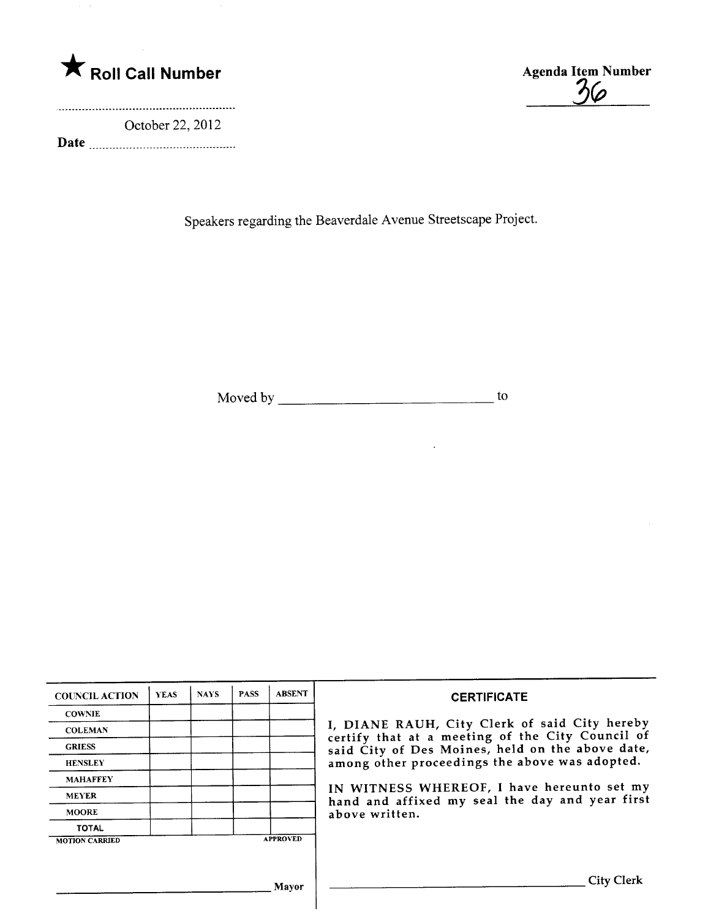

October 22,2012

Date

 $36$ 

Speakers regarding the Beaverdale Avenue Streetscape Project.

Moved by to

 $\ddot{\phantom{a}}$ 

| <b>COUNCIL ACTION</b> | <b>YEAS</b> | <b>NAYS</b> | <b>PASS</b> | <b>ABSENT</b>   | <b>CERTIFICATE</b>                                                                                                                                                                                                                                                                                                         |
|-----------------------|-------------|-------------|-------------|-----------------|----------------------------------------------------------------------------------------------------------------------------------------------------------------------------------------------------------------------------------------------------------------------------------------------------------------------------|
| <b>COWNIE</b>         |             |             |             |                 | I, DIANE RAUH, City Clerk of said City hereby<br>certify that at a meeting of the City Council of<br>said City of Des Moines, held on the above date,<br>among other proceedings the above was adopted.<br>IN WITNESS WHEREOF, I have hereunto set my<br>hand and affixed my seal the day and year first<br>above written. |
| <b>COLEMAN</b>        |             |             |             |                 |                                                                                                                                                                                                                                                                                                                            |
| <b>GRIESS</b>         |             |             |             |                 |                                                                                                                                                                                                                                                                                                                            |
| <b>HENSLEY</b>        |             |             |             |                 |                                                                                                                                                                                                                                                                                                                            |
| <b>MAHAFFEY</b>       |             |             |             |                 |                                                                                                                                                                                                                                                                                                                            |
| <b>MEYER</b>          |             |             |             |                 |                                                                                                                                                                                                                                                                                                                            |
| <b>MOORE</b>          |             |             |             |                 |                                                                                                                                                                                                                                                                                                                            |
| <b>TOTAL</b>          |             |             |             |                 |                                                                                                                                                                                                                                                                                                                            |
| <b>MOTION CARRIED</b> |             |             |             | <b>APPROVED</b> |                                                                                                                                                                                                                                                                                                                            |
|                       |             |             |             |                 |                                                                                                                                                                                                                                                                                                                            |
|                       |             |             |             | Mavor           | City Clerk                                                                                                                                                                                                                                                                                                                 |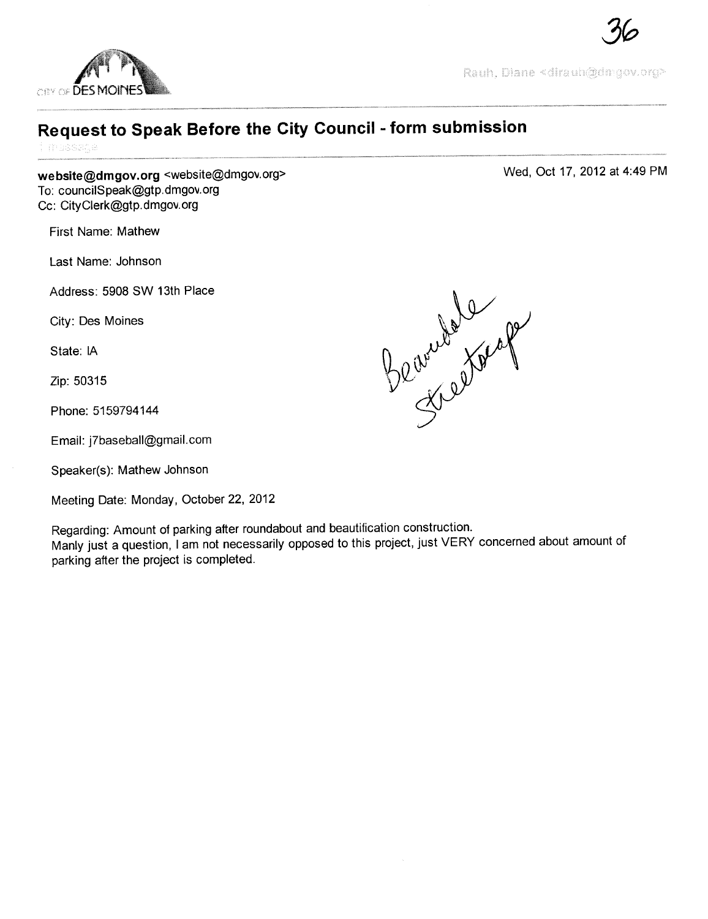

Rauh, Diane <dirauh@dnigov.org>

Wed, Oct 17, 2012 at 4:49 PM

## Request to Speak Before the City Council - form submission

inussade

website@dmgov.org <website@dmgov.org> To: councilSpeak@gtp.dmgov.org Cc: CityClerk@gtp.dmgov.org

First Name: Mathew

Last Name: Johnson

Address: 5908 SW 13th Place

City: Des Moines

State: IA

Zip: 50315

Phone: 5159794144

Email: j7baseball@gmail.com

Speaker(s): Mathew Johnson

Meeting Date: Monday, October 22, 2012

Regarding: Amount of parking after roundabout and beautification construction. Manly just a question, i am not necessarily opposed to this project, just VERY concerned about amount of parking after the project is completed.